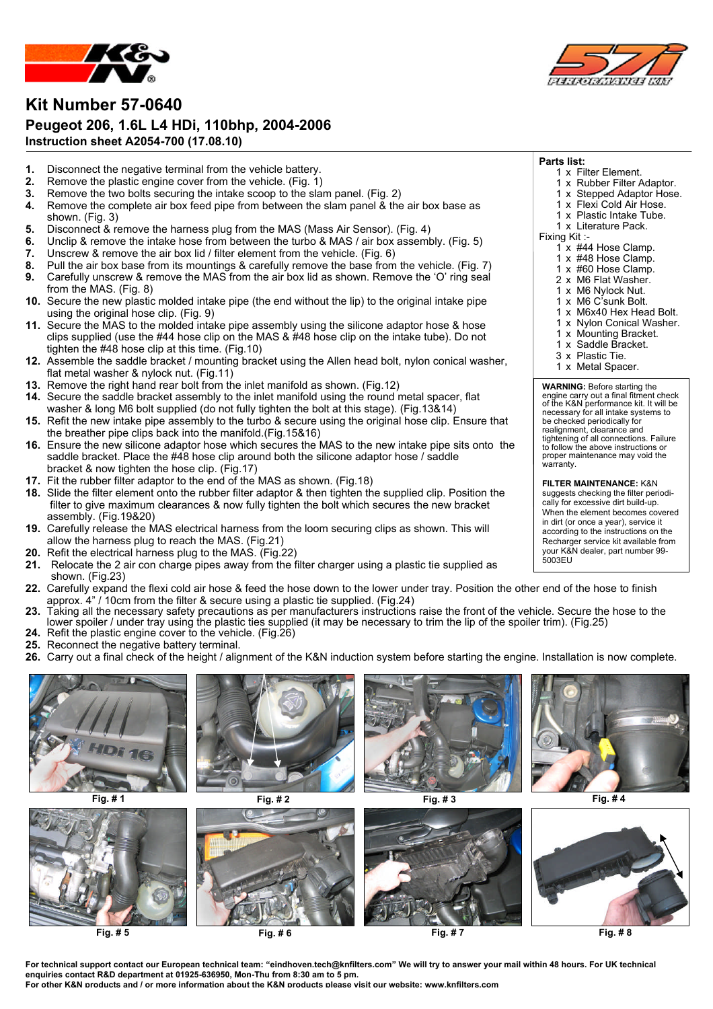

### **Kit Number 57-0640 Peugeot 206, 1.6L L4 HDi, 110bhp, 2004-2006 Instruction sheet A2054-700 (17.08.10)**

- 
- **1.** Disconnect the negative terminal from the vehicle battery.<br>**2.** Remove the plastic engine cover from the vehicle. (Fig. 1)
- **2.** Remove the plastic engine cover from the vehicle. (Fig. 1)
- **3.** Remove the two bolts securing the intake scoop to the slam panel. (Fig. 2) **4.** Remove the complete air box feed pipe from between the slam panel & the air box base as
- shown. (Fig. 3)
- **5.** Disconnect & remove the harness plug from the MAS (Mass Air Sensor). (Fig. 4)
- **6.** Unclip & remove the intake hose from between the turbo & MAS / air box assembly. (Fig. 5)
- **7.** Unscrew & remove the air box lid / filter element from the vehicle. (Fig. 6)
- **8.** Pull the air box base from its mountings & carefully remove the base from the vehicle. (Fig. 7)
- **9.** Carefully unscrew & remove the MAS from the air box lid as shown. Remove the 'O' ring seal from the MAS. (Fig. 8)
- **10.** Secure the new plastic molded intake pipe (the end without the lip) to the original intake pipe using the original hose clip. (Fig. 9)
- **11.** Secure the MAS to the molded intake pipe assembly using the silicone adaptor hose & hose clips supplied (use the #44 hose clip on the MAS & #48 hose clip on the intake tube). Do not tighten the #48 hose clip at this time. (Fig.10)
- **12.** Assemble the saddle bracket / mounting bracket using the Allen head bolt, nylon conical washer, flat metal washer & nylock nut. (Fig.11)
- **13.** Remove the right hand rear bolt from the inlet manifold as shown. (Fig.12)
- **14.** Secure the saddle bracket assembly to the inlet manifold using the round metal spacer, flat washer & long M6 bolt supplied (do not fully tighten the bolt at this stage). (Fig.13&14)
- **15.** Refit the new intake pipe assembly to the turbo & secure using the original hose clip. Ensure that the breather pipe clips back into the manifold.(Fig.15&16)
- **16.** Ensure the new silicone adaptor hose which secures the MAS to the new intake pipe sits onto the saddle bracket. Place the #48 hose clip around both the silicone adaptor hose / saddle bracket & now tighten the hose clip. (Fig.17)
- **17.** Fit the rubber filter adaptor to the end of the MAS as shown. (Fig.18)
- **18.** Slide the filter element onto the rubber filter adaptor & then tighten the supplied clip. Position the filter to give maximum clearances & now fully tighten the bolt which secures the new bracket assembly. (Fig.19&20)
- **19.** Carefully release the MAS electrical harness from the loom securing clips as shown. This will allow the harness plug to reach the MAS. (Fig.21)
- **20.** Refit the electrical harness plug to the MAS. (Fig.22)
- **21.** Relocate the 2 air con charge pipes away from the filter charger using a plastic tie supplied as shown. (Fig.23)
- **22.** Carefully expand the flexi cold air hose & feed the hose down to the lower under tray. Position the other end of the hose to finish approx.  $4"$  / 10cm from the filter & secure using a plastic tie supplied. (Fig.24)
- **23.** Taking all the necessary safety precautions as per manufacturers instructions raise the front of the vehicle. Secure the hose to the lower spoiler / under tray using the plastic ties supplied (it may be necessary to trim the lip of the spoiler trim). (Fig.25)
- **24.** Refit the plastic engine cover to the vehicle. (Fig.26) **25.** Reconnect the negative battery terminal.
- **26.** Carry out a final check of the height / alignment of the K&N induction system before starting the engine. Installation is now complete.





**For technical support contact our European technical team: ³eindhoven.tech@knfilters.com´ We will try to answer your mail within 48 hours. For UK technical enquiries contact R&D department at 01925-636950, Mon-Thu from 8:30 am to 5 pm.**

**For other K&N products and / or more information about the K&N products please visit our website: www.knfilters.com**



**Parts list:**

Fixing Kit :-

warranty.

5003EU

1 x Filter Element. 1 x Rubber Filter Adaptor. 1 x Stepped Adaptor Hose. 1 x Flexi Cold Air Hose. 1 x Plastic Intake Tube. 1 x Literature Pack.

1 x #44 Hose Clamp. 1 x #48 Hose Clamp. 1 x #60 Hose Clamp. 2 x M6 Flat Washer. 1 x M6 Nylock Nut.  $1 \times M6$  C'sunk Bolt. 1 x M6x40 Hex Head Bolt. 1 x Nylon Conical Washer. 1 x Mounting Bracket. 1 x Saddle Bracket. 3 x Plastic Tie. 1 x Metal Spacer.

**WARNING:** Before starting the engine carry out a final fitment check of the K&N performance kit. It will be necessary for all intake systems to be checked periodically for realignment, clearance and tightening of all connections. Failure to follow the above instructions or proper maintenance may void the

**FILTER MAINTENANCE:** K&N suggests checking the filter periodically for excessive dirt build-up. When the element becomes covered in dirt (or once a year), service it according to the instructions on the Recharger service kit available from your K&N dealer, part number 99-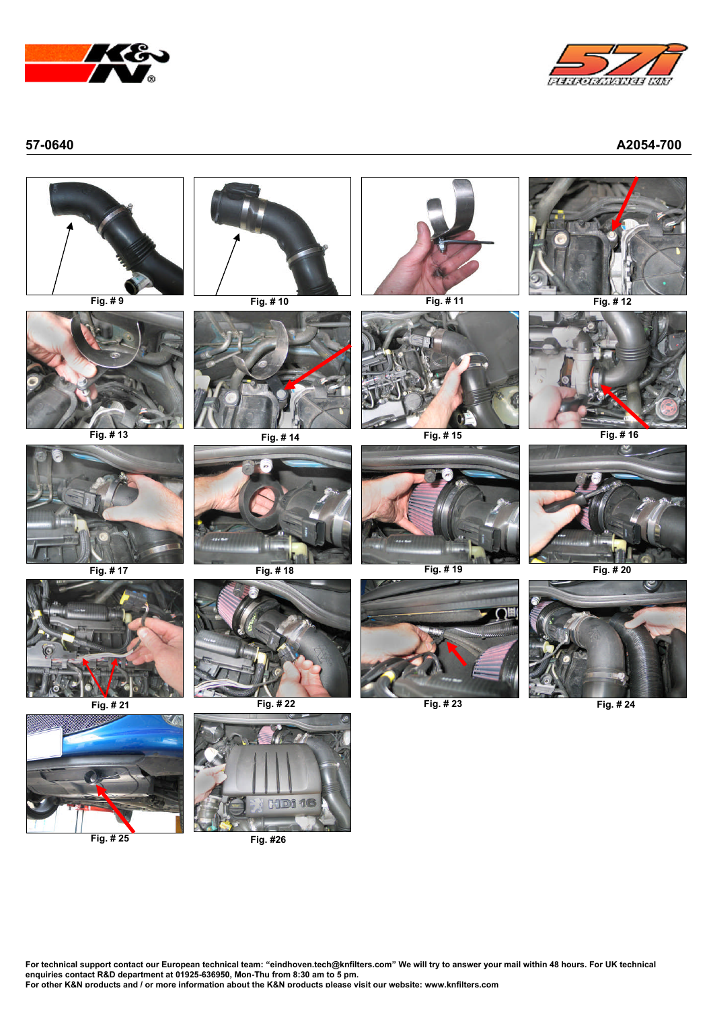



**57-0640 A2054-700**



**For technical support contact our European technical team: ³eindhoven.tech@knfilters.com´ We will try to answer your mail within 48 hours. For UK technical enquiries contact R&D department at 01925-636950, Mon-Thu from 8:30 am to 5 pm.**

**For other K&N products and / or more information about the K&N products please visit our website: www.knfilters.com**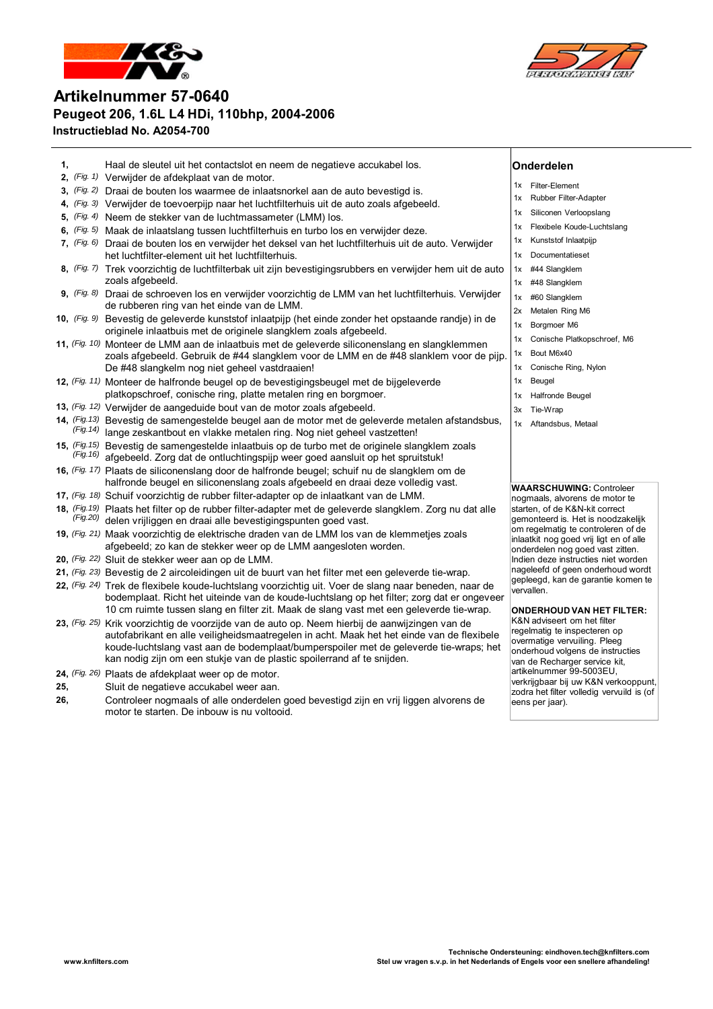



# **Artikelnummer 57-0640 Peugeot 206, 1.6L L4 HDi, 110bhp, 2004-2006 Instructieblad No. A2054-700**

- **1,** Haal de sleutel uit het contactslot en neem de negatieve accukabel los. **Onderdelen 2,** *(Fig. 1)* Verwijder de afdekplaat van de motor. **3,** *(Fig. 2)* Draai de bouten los waarmee de inlaatsnorkel aan de auto bevestigd is. **4,** *(Fig. 3)* Verwijder de toevoerpijp naar het luchtfilterhuis uit de auto zoals afgebeeld. **5,** *(Fig. 4)* Neem de stekker van de luchtmassameter (LMM) los. **6,** *(Fig. 5)* Maak de inlaatslang tussen luchtfilterhuis en turbo los en verwijder deze. **7,** *(Fig. 6)* Draai de bouten los en verwijder het deksel van het luchtfilterhuis uit de auto. Verwijder het luchtfilter-element uit het luchtfilterhuis. **8,** *(Fig. 7)* Trek voorzichtig de luchtfilterbak uit zijn bevestigingsrubbers en verwijder hem uit de auto zoals afgebeeld. **9,** *(Fig. 8)* Draai de schroeven los en verwijder voorzichtig de LMM van het luchtfilterhuis. Verwijder de rubberen ring van het einde van de LMM. **10,** *(Fig. 9)* Bevestig de geleverde kunststof inlaatpijp (het einde zonder het opstaande randje) in de originele inlaatbuis met de originele slangklem zoals afgebeeld. **11,** *(Fig. 10)* Monteer de LMM aan de inlaatbuis met de geleverde siliconenslang en slangklemmen zoals afgebeeld. Gebruik de #44 slangklem voor de LMM en de #48 slanklem voor de pijp. De #48 slangkelm nog niet geheel vastdraaien! **12,** *(Fig. 11)* Monteer de halfronde beugel op de bevestigingsbeugel met de bijgeleverde platkopschroef, conische ring, platte metalen ring en borgmoer. **13,** *(Fig. 12)* Verwijder de aangeduide bout van de motor zoals afgebeeld. **14,** *(Fig.13) (Fig.14)* Bevestig de samengestelde beugel aan de motor met de geleverde metalen afstandsbus,  $H<sup>(Fig.14)</sup>$  lange zeskantbout en vlakke metalen ring. Nog niet geheel vastzetten! 1x Filter-Element 1x Rubber Filter-Adapter 1x Siliconen Verloopslang 1x Flexibele Koude-Luchtslang 1x Kunststof Inlaatpijp 1x Documentatieset 1x #44 Slangklem 1x #48 Slangklem 1x #60 Slangklem 2x Metalen Ring M6 1x Borgmoer M6 1x Conische Platkopschroef, M6 1x Bout M6x40 1x Conische Ring, Nylon 1x Beugel 1x Halfronde Beugel 3x Tie-W rap 1x Aftandsbus, Metaal
- **15,** *(Fig.15) (Fig.16)* Bevestig de samengestelde inlaatbuis op de turbo met de originele slangklem zoals  $F<sub>g.16</sub>$  afgebeeld. Zorg dat de ontluchtingspijp weer goed aansluit op het spruitstuk!
- **16,** *(Fig. 17)* Plaats de siliconenslang door de halfronde beugel; schuif nu de slangklem om de halfronde beugel en siliconenslang zoals afgebeeld en draai deze volledig vast.
- **17,** *(Fig. 18)* Schuif voorzichtig de rubber filter-adapter op de inlaatkant van de LMM.
- 18, *(Fig.19)* Plaats het filter op de rubber filter-adapter met de geleverde slangklem. Zorg nu dat alle<br><sup>(Fig.20)</sup> delen vrijliggen en draai alle bevestigingspunten goed vast.
- **19,** *(Fig. 21)* Maak voorzichtig de elektrische draden van de LMM los van de klemmetjes zoals afgebeeld; zo kan de stekker weer op de LMM aangesloten worden.
- **20,** *(Fig. 22)* Sluit de stekker weer aan op de LMM.
- **21,** *(Fig. 23)* Bevestig de 2 aircoleidingen uit de buurt van het filter met een geleverde tie-wrap.
- **22,** *(Fig. 24)* Trek de flexibele koude-luchtslang voorzichtig uit. Voer de slang naar beneden, naar de bodemplaat. Richt het uiteinde van de koude-luchtslang op het filter; zorg dat er ongeveer 10 cm ruimte tussen slang en filter zit. Maak de slang vast met een geleverde tie-wrap.
- **23,** *(Fig. 25)* Krik voorzichtig de voorzijde van de auto op. Neem hierbij de aanwijzingen van de autofabrikant en alle veiligheidsmaatregelen in acht. Maak het het einde van de flexibele koude-luchtslang vast aan de bodemplaat/bumperspoiler met de geleverde tie-wraps; het kan nodig zijn om een stukje van de plastic spoilerrand af te snijden.
- **24,** *(Fig. 26)* Plaats de afdekplaat weer op de motor.
- **25,** Sluit de negatieve accukabel weer aan.
- **26,** Controleer nogmaals of alle onderdelen goed bevestigd zijn en vrij liggen alvorens de motor te starten. De inbouw is nu voltooid.

### **WAARSCHUWING:** Controleer nogmaals, alvorens de motor te starten, of de K&N-kit correct gemonteerd is. Het is noodzakelijk om regelmatig te controleren of de inlaatkit nog goed vrij ligt en of alle onderdelen nog goed vast zitten. Indien deze instructies niet worden nageleefd of geen onderhoud wordt gepleegd, kan de garantie komen te vervallen.

**ONDERHOUD VAN HET FILTER:** K&N adviseert om het filter regelmatig te inspecteren op overmatige vervuiling. Pleeg onderhoud volgens de instructies van de Recharger service kit, artikelnummer 99-5003EU, verkrijgbaar bij uw K&N verkooppunt, zodra het filter volledig vervuild is (of eens per jaar).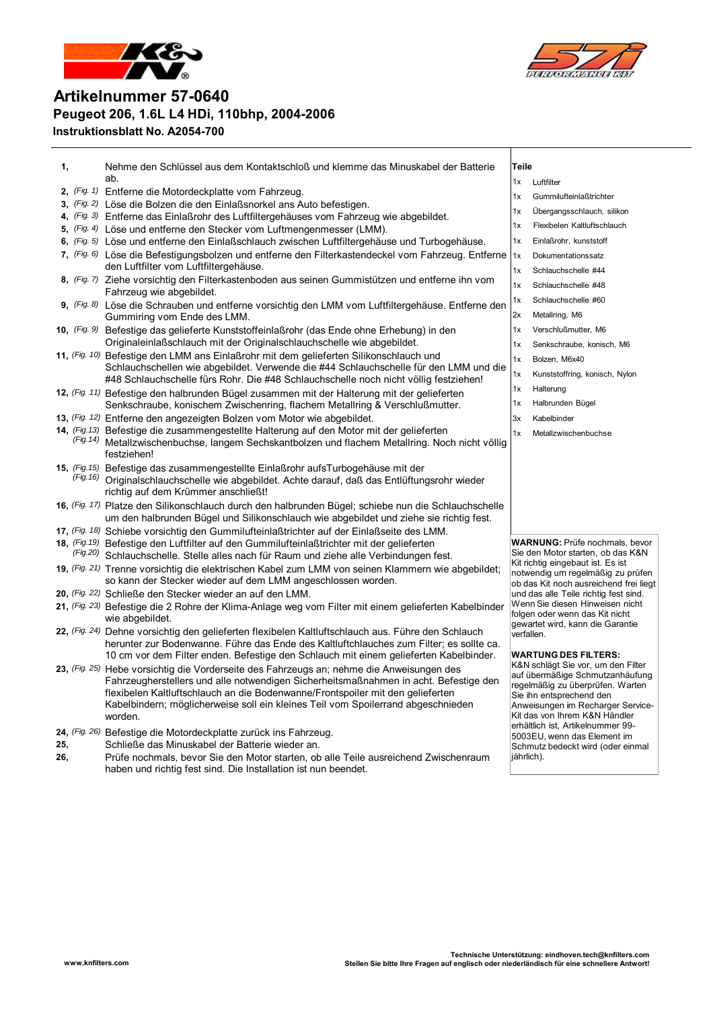



Schmutz bedeckt wird (oder einmal

jährlich).

## **Artikelnummer 57-0640 Peugeot 206, 1.6L L4 HDi, 110bhp, 2004-2006 Instruktionsblatt No. A2054-700**

| 1, |           | Nehme den Schlüssel aus dem Kontaktschloß und klemme das Minuskabel der Batterie<br>ab.                                                                                       | <b>Teile</b> |                                                                                 |
|----|-----------|-------------------------------------------------------------------------------------------------------------------------------------------------------------------------------|--------------|---------------------------------------------------------------------------------|
|    |           |                                                                                                                                                                               | 1x           | Luftfilter                                                                      |
|    |           | 2, (Fig. 1) Entferne die Motordeckplatte vom Fahrzeug.                                                                                                                        | 1x           | Gummilufteinlaßtrichter                                                         |
|    |           | 3, (Fig. 2) Löse die Bolzen die den Einlaßsnorkel ans Auto befestigen.                                                                                                        | 1x           | Übergangsschlauch, silikon                                                      |
|    |           | 4, (Fig. 3) Entferne das Einlaßrohr des Luftfiltergehäuses vom Fahrzeug wie abgebildet.<br>5, $(Fig. 4)$ Löse und entferne den Stecker vom Luftmengenmesser (LMM).            | 1x           | Flexibelen Kaltluftschlauch                                                     |
|    |           | 6, (Fig. 5) Löse und entferne den Einlaßschlauch zwischen Luftfiltergehäuse und Turbogehäuse.                                                                                 | 1x           | Einlaßrohr, kunststoff                                                          |
|    |           | 7, (Fig. 6) Löse die Befestigungsbolzen und entferne den Filterkastendeckel vom Fahrzeug. Entferne                                                                            | 1x           | Dokumentationssatz                                                              |
|    |           | den Luftfilter vom Luftfiltergehäuse.                                                                                                                                         | 1x           | Schlauchschelle #44                                                             |
|    |           | 8, (Fig. 7) Ziehe vorsichtig den Filterkastenboden aus seinen Gummistützen und entferne ihn vom                                                                               | 1x           | Schlauchschelle #48                                                             |
|    |           | Fahrzeug wie abgebildet.                                                                                                                                                      | 1x           | Schlauchschelle #60                                                             |
|    |           | 9, (Fig. 8) Löse die Schrauben und entferne vorsichtig den LMM vom Luftfiltergehäuse. Entferne den<br>Gummiring vom Ende des LMM.                                             | 2x           | Metallring, M6                                                                  |
|    |           | 10, (Fig. 9) Befestige das gelieferte Kunststoffeinlaßrohr (das Ende ohne Erhebung) in den                                                                                    | 1x           | Verschlußmutter, M6                                                             |
|    |           | Originaleinlaßschlauch mit der Originalschlauchschelle wie abgebildet.                                                                                                        | 1x           | Senkschraube, konisch, M6                                                       |
|    |           | 11, (Fig. 10) Befestige den LMM ans Einlaßrohr mit dem gelieferten Silikonschlauch und                                                                                        | 1x           | Bolzen, M6x40                                                                   |
|    |           | Schlauchschellen wie abgebildet. Verwende die #44 Schlauchschelle für den LMM und die<br>#48 Schlauchschelle fürs Rohr. Die #48 Schlauchschelle noch nicht völlig festziehen! | 1x           | Kunststoffring, konisch, Nylon                                                  |
|    |           | 12, (Fig. 11) Befestige den halbrunden Bügel zusammen mit der Halterung mit der gelieferten                                                                                   | 1x           | Halterung                                                                       |
|    |           | Senkschraube, konischem Zwischenring, flachem Metallring & Verschlußmutter.                                                                                                   | 1x           | Halbrunden Bügel                                                                |
|    |           | 13, (Fig. 12) Entferne den angezeigten Bolzen vom Motor wie abgebildet.                                                                                                       | 3x           | Kabelbinder                                                                     |
|    |           | 14, (Fig.13) Befestige die zusammengestellte Halterung auf den Motor mit der gelieferten                                                                                      | 1x           | Metallzwischenbuchse                                                            |
|    | (Fig. 14) | Metallzwischenbuchse, langem Sechskantbolzen und flachem Metallring. Noch nicht völlig                                                                                        |              |                                                                                 |
|    |           | festziehen!                                                                                                                                                                   |              |                                                                                 |
|    |           | 15, (Fig. 15) Befestige das zusammengestellte Einlaßrohr aufsTurbogehäuse mit der                                                                                             |              |                                                                                 |
|    |           | (Fig.16) Originalschlauchschelle wie abgebildet. Achte darauf, daß das Entlüftungsrohr wieder<br>richtig auf dem Krümmer anschließt!                                          |              |                                                                                 |
|    |           | 16, (Fig. 17) Platze den Silikonschlauch durch den halbrunden Bügel; schiebe nun die Schlauchschelle                                                                          |              |                                                                                 |
|    |           | um den halbrunden Bügel und Silikonschlauch wie abgebildet und ziehe sie richtig fest.                                                                                        |              |                                                                                 |
|    |           | 17, (Fig. 18) Schiebe vorsichtig den Gummilufteinlaßtrichter auf der Einlaßseite des LMM.                                                                                     |              |                                                                                 |
|    |           | 18, (Fig. 19) Befestige den Luftfilter auf den Gummilufteinlaßtrichter mit der gelieferten                                                                                    |              | <b>WARNUNG: Prüfe nochmals, bevor</b>                                           |
|    |           | (Fig.20) Schlauchschelle. Stelle alles nach für Raum und ziehe alle Verbindungen fest.                                                                                        |              | Sie den Motor starten, ob das K&N<br>Kit richtig eingebaut ist. Es ist          |
|    |           | 19, (Fig. 21) Trenne vorsichtig die elektrischen Kabel zum LMM von seinen Klammern wie abgebildet;<br>so kann der Stecker wieder auf dem LMM angeschlossen worden.            |              | notwendig um regelmäßig zu prüfen                                               |
|    |           | 20, (Fig. 22) Schließe den Stecker wieder an auf den LMM.                                                                                                                     |              | ob das Kit noch ausreichend frei liegt<br>und das alle Teile richtig fest sind. |
|    |           | 21, (Fig. 23) Befestige die 2 Rohre der Klima-Anlage weg vom Filter mit einem gelieferten Kabelbinder                                                                         |              | Wenn Sie diesen Hinweisen nicht                                                 |
|    |           | wie abgebildet.                                                                                                                                                               |              | folgen oder wenn das Kit nicht<br>gewartet wird, kann die Garantie              |
|    |           | 22, (Fig. 24) Dehne vorsichtig den gelieferten flexibelen Kaltluftschlauch aus. Führe den Schlauch                                                                            |              | verfallen.                                                                      |
|    |           | herunter zur Bodenwanne. Führe das Ende des Kaltluftchlauches zum Filter; es sollte ca.                                                                                       |              |                                                                                 |
|    |           | 10 cm vor dem Filter enden. Befestige den Schlauch mit einem gelieferten Kabelbinder.                                                                                         |              | <b>WARTUNG DES FILTERS:</b><br>K&N schlägt Sie vor, um den Filter               |
|    |           | 23, (Fig. 25) Hebe vorsichtig die Vorderseite des Fahrzeugs an; nehme die Anweisungen des                                                                                     |              | auf übermäßige Schmutzanhäufung                                                 |
|    |           | Fahrzeugherstellers und alle notwendigen Sicherheitsmaßnahmen in acht. Befestige den                                                                                          |              | regelmäßig zu überprüfen. Warten                                                |
|    |           | flexibelen Kaltluftschlauch an die Bodenwanne/Frontspoiler mit den gelieferten<br>Kabelbindern; möglicherweise soll ein kleines Teil vom Spoilerrand abgeschnieden            |              | Sie ihn entsprechend den                                                        |
|    |           | worden.                                                                                                                                                                       |              | Anweisungen im Recharger Service-<br>Kit das von Ihrem K&N Händler              |
|    |           | 24, (Fig. 26) Befestige die Motordeckplatte zurück ins Fahrzeug.                                                                                                              |              | erhältlich ist, Artikelnummer 99-                                               |
|    |           |                                                                                                                                                                               |              | 5003EU, wenn das Element im                                                     |

- 
- **25,** Schließe das Minuskabel der Batterie wieder an. **26,** Prüfe nochmals, bevor Sie den Motor starten, ob alle Teile ausreichend Zwischenraum
	- haben und richtig fest sind. Die Installation ist nun beendet.